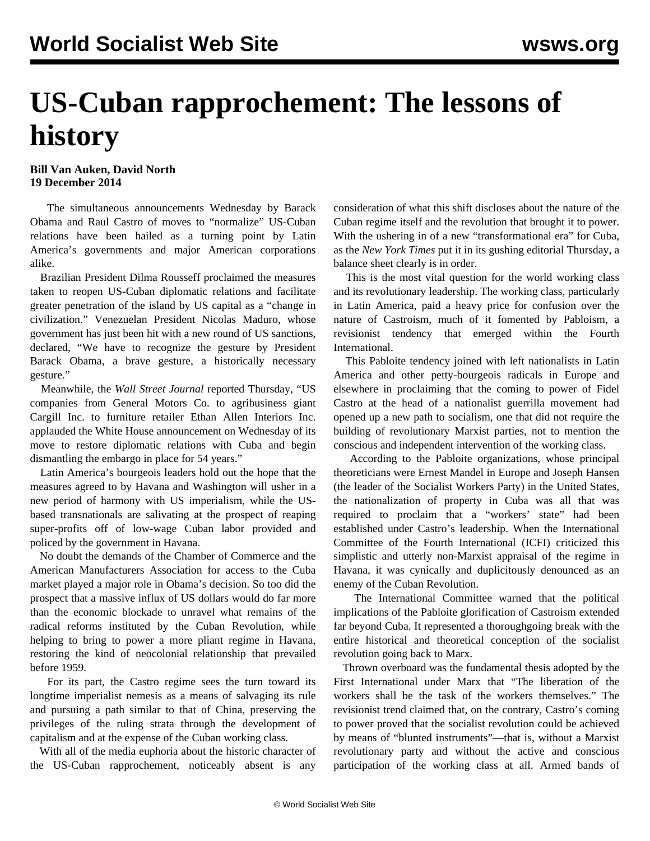## **US-Cuban rapprochement: The lessons of history**

## **Bill Van Auken, David North 19 December 2014**

 The simultaneous announcements Wednesday by Barack Obama and Raul Castro of moves to "normalize" US-Cuban relations have been hailed as a turning point by Latin America's governments and major American corporations alike.

 Brazilian President Dilma Rousseff proclaimed the measures taken to reopen US-Cuban diplomatic relations and facilitate greater penetration of the island by US capital as a "change in civilization." Venezuelan President Nicolas Maduro, whose government has just been hit with a new round of US sanctions, declared, "We have to recognize the gesture by President Barack Obama, a brave gesture, a historically necessary gesture."

 Meanwhile, the *Wall Street Journal* reported Thursday, "US companies from General Motors Co. to agribusiness giant Cargill Inc. to furniture retailer Ethan Allen Interiors Inc. applauded the White House announcement on Wednesday of its move to restore diplomatic relations with Cuba and begin dismantling the embargo in place for 54 years."

 Latin America's bourgeois leaders hold out the hope that the measures agreed to by Havana and Washington will usher in a new period of harmony with US imperialism, while the USbased transnationals are salivating at the prospect of reaping super-profits off of low-wage Cuban labor provided and policed by the government in Havana.

 No doubt the demands of the Chamber of Commerce and the American Manufacturers Association for access to the Cuba market played a major role in Obama's decision. So too did the prospect that a massive influx of US dollars would do far more than the economic blockade to unravel what remains of the radical reforms instituted by the Cuban Revolution, while helping to bring to power a more pliant regime in Havana, restoring the kind of neocolonial relationship that prevailed before 1959.

 For its part, the Castro regime sees the turn toward its longtime imperialist nemesis as a means of salvaging its rule and pursuing a path similar to that of China, preserving the privileges of the ruling strata through the development of capitalism and at the expense of the Cuban working class.

 With all of the media euphoria about the historic character of the US-Cuban rapprochement, noticeably absent is any consideration of what this shift discloses about the nature of the Cuban regime itself and the revolution that brought it to power. With the ushering in of a new "transformational era" for Cuba, as the *New York Times* put it in its gushing editorial Thursday, a balance sheet clearly is in order.

 This is the most vital question for the world working class and its revolutionary leadership. The working class, particularly in Latin America, paid a heavy price for confusion over the nature of Castroism, much of it fomented by Pabloism, a revisionist tendency that emerged within the Fourth International.

 This Pabloite tendency joined with left nationalists in Latin America and other petty-bourgeois radicals in Europe and elsewhere in proclaiming that the coming to power of Fidel Castro at the head of a nationalist guerrilla movement had opened up a new path to socialism, one that did not require the building of revolutionary Marxist parties, not to mention the conscious and independent intervention of the working class.

 According to the Pabloite organizations, whose principal theoreticians were Ernest Mandel in Europe and Joseph Hansen (the leader of the Socialist Workers Party) in the United States, the nationalization of property in Cuba was all that was required to proclaim that a "workers' state" had been established under Castro's leadership. When the International Committee of the Fourth International (ICFI) criticized this simplistic and utterly non-Marxist appraisal of the regime in Havana, it was cynically and duplicitously denounced as an enemy of the Cuban Revolution.

 The International Committee warned that the political implications of the Pabloite glorification of Castroism extended far beyond Cuba. It represented a thoroughgoing break with the entire historical and theoretical conception of the socialist revolution going back to Marx.

 Thrown overboard was the fundamental thesis adopted by the First International under Marx that "The liberation of the workers shall be the task of the workers themselves." The revisionist trend claimed that, on the contrary, Castro's coming to power proved that the socialist revolution could be achieved by means of "blunted instruments"—that is, without a Marxist revolutionary party and without the active and conscious participation of the working class at all. Armed bands of